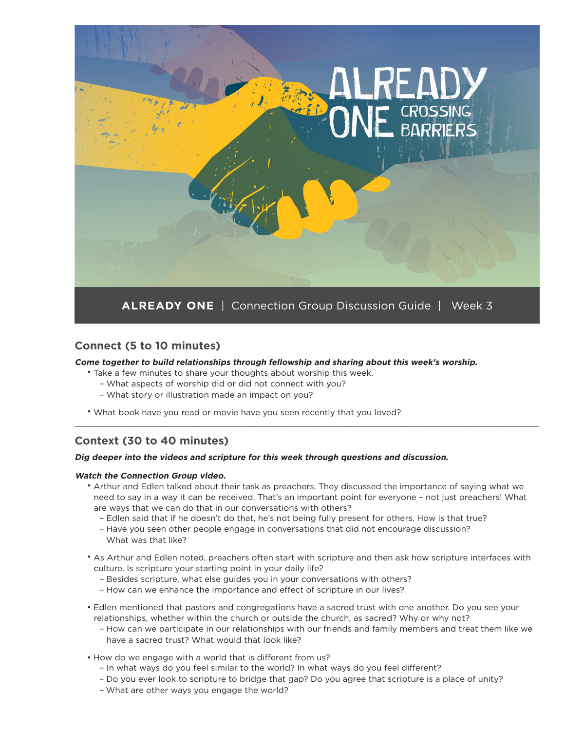

### **Connect (5 to 10 minutes)**

#### **Come together to build relationships through fellowship and sharing about this week's worship.**

- Take a few minutes to share your thoughts about worship this week.
	- What aspects of worship did or did not connect with you?
	- What story or illustration made an impact on you?
- What book have you read or movie have you seen recently that you loved?

### **Context (30 to 40 minutes)**

#### **Dig deeper into the videos and scripture for this week through questions and discussion.**

#### **Watch the Connection Group video.**

• Arthur and Edlen talked about their task as preachers. They discussed the importance of saying what we need to say in a way it can be received. That's an important point for everyone – not just preachers! What are ways that we can do that in our conversations with others?

\_\_\_\_\_\_\_\_\_\_\_\_\_\_\_\_\_\_\_\_\_\_\_\_\_\_\_\_\_\_\_\_\_\_\_\_\_\_\_\_\_\_\_\_\_\_\_\_\_\_\_\_\_\_\_\_\_\_\_\_\_\_\_\_\_\_\_\_\_\_\_\_\_\_\_\_\_\_\_\_\_\_\_\_\_\_\_\_\_\_\_\_\_\_\_\_\_\_\_\_\_\_\_\_\_\_\_\_\_\_\_\_\_\_\_\_\_\_\_\_\_\_\_\_\_\_\_\_\_\_\_\_\_\_\_\_\_\_\_\_\_\_\_\_\_\_\_\_\_\_\_\_\_\_\_\_\_\_\_\_\_\_\_\_\_\_\_\_

- Edlen said that if he doesn't do that, he's not being fully present for others. How is that true?
- Have you seen other people engage in conversations that did not encourage discussion? What was that like?
- As Arthur and Edlen noted, preachers often start with scripture and then ask how scripture interfaces with culture. Is scripture your starting point in your daily life?
	- Besides scripture, what else guides you in your conversations with others?
	- How can we enhance the importance and effect of scripture in our lives?
- Edlen mentioned that pastors and congregations have a sacred trust with one another. Do you see your relationships, whether within the church or outside the church, as sacred? Why or why not?
	- How can we participate in our relationships with our friends and family members and treat them like we have a sacred trust? What would that look like?
- How do we engage with a world that is different from us?
	- In what ways do you feel similar to the world? In what ways do you feel different?
	- Do you ever look to scripture to bridge that gap? Do you agree that scripture is a place of unity?
	- What are other ways you engage the world?